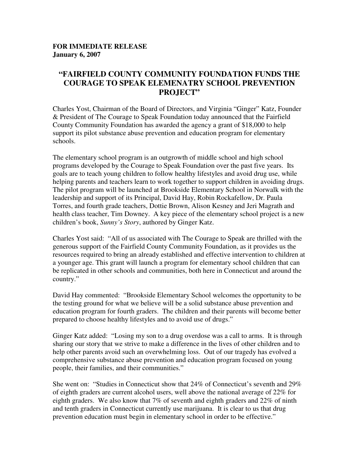## **FOR IMMEDIATE RELEASE January 6, 2007**

## **"FAIRFIELD COUNTY COMMUNITY FOUNDATION FUNDS THE COURAGE TO SPEAK ELEMENATRY SCHOOL PREVENTION PROJECT"**

Charles Yost, Chairman of the Board of Directors, and Virginia "Ginger" Katz, Founder & President of The Courage to Speak Foundation today announced that the Fairfield County Community Foundation has awarded the agency a grant of \$18,000 to help support its pilot substance abuse prevention and education program for elementary schools.

The elementary school program is an outgrowth of middle school and high school programs developed by the Courage to Speak Foundation over the past five years. Its goals are to teach young children to follow healthy lifestyles and avoid drug use, while helping parents and teachers learn to work together to support children in avoiding drugs. The pilot program will be launched at Brookside Elementary School in Norwalk with the leadership and support of its Principal, David Hay, Robin Rockafellow, Dr. Paula Torres, and fourth grade teachers, Dottie Brown, Alison Kesney and Jeri Magrath and health class teacher, Tim Downey. A key piece of the elementary school project is a new children's book, *Sunny's Story*, authored by Ginger Katz.

Charles Yost said: "All of us associated with The Courage to Speak are thrilled with the generous support of the Fairfield County Community Foundation, as it provides us the resources required to bring an already established and effective intervention to children at a younger age. This grant will launch a program for elementary school children that can be replicated in other schools and communities, both here in Connecticut and around the country."

David Hay commented: "Brookside Elementary School welcomes the opportunity to be the testing ground for what we believe will be a solid substance abuse prevention and education program for fourth graders. The children and their parents will become better prepared to choose healthy lifestyles and to avoid use of drugs."

Ginger Katz added: "Losing my son to a drug overdose was a call to arms. It is through sharing our story that we strive to make a difference in the lives of other children and to help other parents avoid such an overwhelming loss. Out of our tragedy has evolved a comprehensive substance abuse prevention and education program focused on young people, their families, and their communities."

She went on: "Studies in Connecticut show that 24% of Connecticut's seventh and 29% of eighth graders are current alcohol users, well above the national average of 22% for eighth graders. We also know that 7% of seventh and eighth graders and 22% of ninth and tenth graders in Connecticut currently use marijuana. It is clear to us that drug prevention education must begin in elementary school in order to be effective."